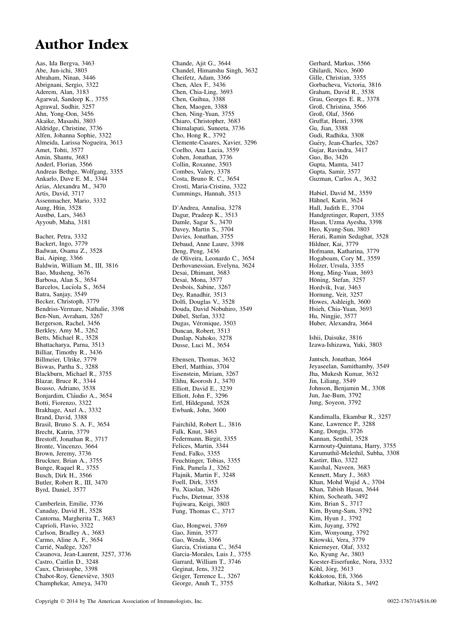### Author Index

Aas, Ida Bergva, 3463 Abe, Jun-ichi, 3803 Abraham, Ninan, 3446 Abrignani, Sergio, 3322 Aderem, Alan, 3183 Agarwal, Sandeep K., 3755 Agrawal, Sudhir, 3257 Ahn, Yong-Oon, 3456 Akaike, Masashi, 3803 Aldridge, Christine, 3736 Alfen, Johanna Sophie, 3322 Almeida, Larissa Nogueira, 3613 Amet, Tohti, 3577 Amin, Shantu, 3683 Anderl, Florian, 3566 Andreas Bethge, Wolfgang, 3355 Ankarlo, Dave E. M., 3344 Arias, Alexandra M., 3470 Artis, David, 3717 Assenmacher, Mario, 3332 Aung, Htin, 3528 Austbø, Lars, 3463 Ayyoub, Maha, 3181 Bacher, Petra, 3332 Backert, Ingo, 3779 Badwan, Osama Z., 3528 Bai, Aiping, 3366 Baldwin, William M., III, 3816 Bao, Musheng, 3676 Barbosa, Alan S., 3654 Barcelos, Lucíola S., 3654 Batra, Sanjay, 3549 Becker, Christoph, 3779 Bendriss-Vermare, Nathalie, 3398 Ben-Nun, Avraham, 3267 Bergerson, Rachel, 3456 Berkley, Amy M., 3262 Betts, Michael R., 3528 Bhattacharya, Parna, 3513 Billiar, Timothy R., 3436 Billmeier, Ulrike, 3779 Biswas, Partha S., 3288 Blackburn, Michael R., 3755 Blazar, Bruce R., 3344 Boasso, Adriano, 3538 Bonjardim, Cláudio A., 3654 Botti, Fiorenzo, 3322 Brakhage, Axel A., 3332 Brand, David, 3388 Brasil, Bruno S. A. F., 3654 Brecht, Katrin, 3779 Brestoff, Jonathan R., 3717 Bronte, Vincenzo, 3664 Brown, Jeremy, 3736 Bruckner, Brian A., 3755

Bunge, Raquel R., 3755 Busch, Dirk H., 3566 Butler, Robert R., III, 3470 Byrd, Daniel, 3577 Camberlein, Emilie, 3736 Canaday, David H., 3528

Cantorna, Margherita T., 3683 Caprioli, Flavio, 3322 Carlson, Bradley A., 3683 Carmo, Aline A. F., 3654 Carrié, Nadège, 3267 Casanova, Jean-Laurent, 3257, 3736 Castro, Caitlin D., 3248 Caux, Christophe, 3398 Chabot-Roy, Geneviève, 3503 Champhekar, Ameya, 3470

Chande, Ajit G., 3644 Chandel, Himanshu Singh, 3632 Cheifetz, Adam, 3366 Chen, Alex F., 3436 Chen, Chia-Ling, 3693 Chen, Guihua, 3388 Chen, Maogen, 3388 Chen, Ning-Yuan, 3755 Chiaro, Christopher, 3683 Chimalapati, Suneeta, 3736 Cho, Hong R., 3792 Clemente-Casares, Xavier, 3296 Coelho, Ana Lucia, 3559 Cohen, Jonathan, 3736 Collin, Roxanne, 3503 Combes, Valery, 3378 Costa, Bruno R. C., 3654 Crosti, Maria-Cristina, 3322 Cummings, Hannah, 3513 D'Andrea, Annalisa, 3278 Dagur, Pradeep K., 3513 Damle, Sagar S., 3470 Davey, Martin S., 3704 Davies, Jonathan, 3755 Debaud, Anne Laure, 3398 Deng, Peng, 3436 de Oliveira, Leonardo C., 3654 Derhovanessian, Evelyna, 3624 Desai, Dhimant, 3683 Desai, Mona, 3577 Desbois, Sabine, 3267 Dey, Ranadhir, 3513 Dolfi, Douglas V., 3528 Douda, David Nobuhiro, 3549 Dübel, Stefan, 3332 Dugas, Véronique, 3503 Duncan, Robert, 3513 Dunlap, Nahoko, 3278 Dusse, Luci M., 3654 Ebensen, Thomas, 3632 Eberl, Matthias, 3704 Eisenstein, Miriam, 3267 Elihu, Koorosh J., 3470 Elliott, David E., 3239 Elliott, John F., 3296 Ertl, Hildegund, 3528 Ewbank, John, 3600 Fairchild, Robert L., 3816 Falk, Knut, 3463 Federmann, Birgit, 3355 Felices, Martin, 3344 Fend, Falko, 3355 Feuchtinger, Tobias, 3355 Fink, Pamela J., 3262 Flajnik, Martin F., 3248 Foell, Dirk, 3355 Fu, Xiaolan, 3426 Fuchs, Dietmar, 3538 Fujiwara, Keigi, 3803 Fung, Thomas C., 3717 Gao, Hongwei, 3769 Gao, Jimin, 3577 Gao, Wenda, 3366 Garcia, Cristiana C., 3654 Garcia-Morales, Luis J., 3755 Garrard, William T., 3746 Geginat, Jens, 3322

Geiger, Terrence L., 3267 George, Anuh T., 3755

Gerhard, Markus, 3566 Ghilardi, Nico, 3600 Gille, Christian, 3355 Gorbacheva, Victoria, 3816 Graham, David R., 3538 Grau, Georges E. R., 3378 Groß, Christina, 3566 Groß, Olaf, 3566 Gruffat, Henri, 3398 Gu, Jian, 3388 Gudi, Radhika, 3308 Guéry, Jean-Charles, 3267 Gujar, Ravindra, 3417 Guo, Bo, 3426 Gupta, Mamta, 3417 Gupta, Samir, 3577 Guzman, Carlos A., 3632

Habiel, David M., 3559 Hähnel, Karin, 3624 Hall, Judith E., 3704 Handgretinger, Rupert, 3355 Hasan, Uzma Ayesha, 3398 Heo, Kyung-Sun, 3803 Herati, Ramin Sedaghat, 3528 Hildner, Kai, 3779 Hofmann, Katharina, 3779 Hogaboam, Cory M., 3559 Holzer, Ursula, 3355 Hong, Ming-Yuan, 3693 Höning, Stefan, 3257 Hordvik, Ivar, 3463 Hornung, Veit, 3257 Howes, Ashleigh, 3600 Hsieh, Chia-Yuan, 3693 Hu, Ningjie, 3577 Huber, Alexandra, 3664

Ishii, Daisuke, 3816 Izawa-Ishizawa, Yuki, 3803

Jantsch, Jonathan, 3664 Jeyaseelan, Samithamby, 3549 Jha, Mukesh Kumar, 3632 Jin, Liliang, 3549 Johnson, Benjamin M., 3308 Jun, Jae-Bum, 3792 Jung, Soyeon, 3792

Kandimalla, Ekambar R., 3257 Kane, Lawrence P., 3288 Kang, Dongju, 3726 Kannan, Senthil, 3528 Karmouty-Quintana, Harry, 3755 Karumuthil-Melethil, Subha, 3308 Kastirr, Ilko, 3322 Kaushal, Naveen, 3683 Kennett, Mary J., 3683 Khan, Mohd Wajid A., 3704 Khan, Tabish Hasan, 3644 Khim, Socheath, 3492 Kim, Brian S., 3717 Kim, Byung-Sam, 3792 Kim, Hyun J., 3792 Kim, Juyang, 3792 Kim, Wonyoung, 3792 Kitowski, Vera, 3779 Kniemeyer, Olaf, 3332 Ko, Kyung Ae, 3803 Koester-Eiserfunke, Nora, 3332 Köhl, Jörg, 3613 Kokkotou, Efi, 3366 Kolhatkar, Nikita S., 3492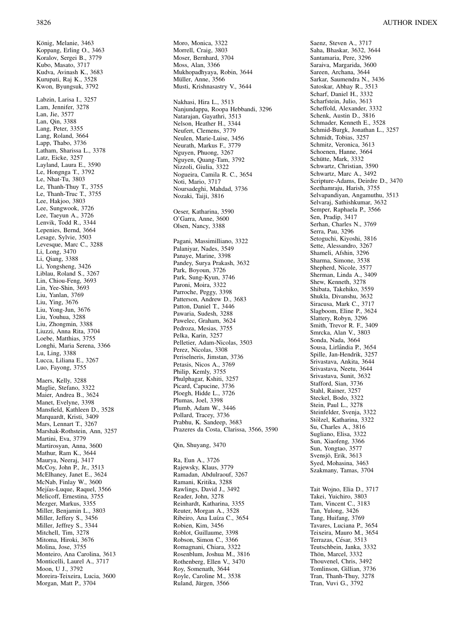König, Melanie, 3463 Koppang, Erling O., 3463 Koralov, Sergei B., 3779 Kubo, Masato, 3717 Kudva, Avinash K., 3683 Kurupati, Raj K., 3528 Kwon, Byungsuk, 3792 Labzin, Larisa I., 3257 Lam, Jennifer, 3278 Lan, Jie, 3577 Lan, Qin, 3388 Lang, Peter, 3355 Lang, Roland, 3664 Lapp, Thabo, 3736 Latham, Sharissa L., 3378 Latz, Eicke, 3257 Layland, Laura E., 3590 Le, Hongnga T., 3792 Le, Nhat-Tu, 3803 Le, Thanh-Thuy T., 3755 Le, Thanh-Truc T., 3755 Lee, Hakjoo, 3803 Lee, Sungwook, 3726 Lee, Taeyun A., 3726 Lenvik, Todd R., 3344 Lepenies, Bernd, 3664 Lesage, Sylvie, 3503 Levesque, Marc C., 3288 Li, Long, 3470 Li, Qiang, 3388 Li, Yongsheng, 3426 Liblau, Roland S., 3267 Lin, Chiou-Feng, 3693 Lin, Yee-Shin, 3693 Liu, Yanlan, 3769 Liu, Ying, 3676 Liu, Yong-Jun, 3676 Liu, Youhua, 3288 Liu, Zhongmin, 3388 Liuzzi, Anna Rita, 3704 Loebe, Matthias, 3755 Longhi, Maria Serena, 3366 Lu, Ling, 3388 Lucca, Liliana E., 3267 Luo, Fayong, 3755 Maers, Kelly, 3288 Maglie, Stefano, 3322 Maier, Andrea B., 3624 Manet, Evelyne, 3398 Mansfield, Kathleen D., 3528 Marquardt, Kristi, 3409 Mars, Lennart T., 3267 Marshak-Rothstein, Ann, 3257 Martini, Eva, 3779 Martirosyan, Anna, 3600 Mathur, Ram K., 3644 Maurya, Neeraj, 3417 McCoy, John P., Jr., 3513 McElhaney, Janet E., 3624 McNab, Finlay W., 3600 Mejías-Luque, Raquel, 3566 Melicoff, Ernestina, 3755 Mezger, Markus, 3355 Miller, Benjamin L., 3803 Miller, Jeffery S., 3456 Miller, Jeffrey S., 3344 Mitchell, Tim, 3278 Mitoma, Hiroki, 3676 Molina, Jose, 3755 Monteiro, Ana Carolina, 3613 Monticelli, Laurel A., 3717 Moon, U J., 3792 Moreira-Teixeira, Lucia, 3600 Morgan, Matt P., 3704

Morrell, Craig, 3803 Moser, Bernhard, 3704 Moss, Alan, 3366 Mukhopadhyaya, Robin, 3644 Müller, Anne, 3566 Musti, Krishnasastry V., 3644 Nakhasi, Hira L., 3513 Nanjundappa, Roopa Hebbandi, 3296 Natarajan, Gayathri, 3513 Nelson, Heather H., 3344 Neufert, Clemens, 3779 Neulen, Marie-Luise, 3456 Neurath, Markus F., 3779 Nguyen, Phuong, 3267 Nguyen, Quang-Tam, 3792 Nizzoli, Giulia, 3322 Nogueira, Camila R. C., 3654 Noti, Mario, 3717 Noursadeghi, Mahdad, 3736 Nozaki, Taiji, 3816 Oeser, Katharina, 3590 O'Garra, Anne, 3600 Olsen, Nancy, 3388 Pagani, Massimilliano, 3322 Palaniyar, Nades, 3549 Panaye, Marine, 3398 Pandey, Surya Prakash, 3632 Park, Boyoun, 3726 Park, Sung-Kyun, 3746 Paroni, Moira, 3322 Parroche, Peggy, 3398 Patterson, Andrew D., 3683 Patton, Daniel T., 3446 Pawaria, Sudesh, 3288 Pawelec, Graham, 3624 Pedroza, Mesias, 3755 Pelka, Karin, 3257 Pelletier, Adam-Nicolas, 3503 Perez, Nicolas, 3308 Periselneris, Jimstan, 3736 Petasis, Nicos A., 3769 Philip, Kemly, 3755 Phulphagar, Kshiti, 3257 Picard, Capucine, 3736 Ploegh, Hidde L., 3726 Plumas, Joel, 3398 Plumb, Adam W., 3446 Pollard, Tracey, 3736 Prabhu, K. Sandeep, 3683 Prazeres da Costa, Clarissa, 3566, 3590 Qin, Shuyang, 3470 Ra, Eun A., 3726 Rajewsky, Klaus, 3779

Moro, Monica, 3322

Ramadan, Abdulraouf, 3267 Ramani, Kritika, 3288 Rawlings, David J., 3492 Reader, John, 3278 Reinhardt, Katharina, 3355 Reuter, Morgan A., 3528 Ribeiro, Ana Luíza C., 3654 Robien, Kim, 3456 Roblot, Guillaume, 3398 Robson, Simon C., 3366 Romagnani, Chiara, 3322 Rosenblum, Joshua M., 3816 Rothenberg, Ellen V., 3470 Roy, Somenath, 3644 Royle, Caroline M., 3538 Ruland, Jürgen, 3566

Saenz, Steven A., 3717 Saha, Bhaskar, 3632, 3644 Santamaria, Pere, 3296 Saraiva, Margarida, 3600 Sareen, Archana, 3644 Sarkar, Saumendra N., 3436 Satoskar, Abhay R., 3513 Scharf, Daniel H., 3332 Scharfstein, Julio, 3613 Scheffold, Alexander, 3332 Schenk, Austin D., 3816 Schmader, Kenneth E., 3528 Schmid-Burgk, Jonathan L., 3257 Schmidt, Tobias, 3257 Schmitz, Veronica, 3613 Schoenen, Hanne, 3664 Schütte, Mark, 3332 Schwartz, Christian, 3590 Schwartz, Marc A., 3492 Scripture-Adams, Deirdre D., 3470 Seethamraju, Harish, 3755 Selvapandiyan, Angamuthu, 3513 Selvaraj, Sathishkumar, 3632 Semper, Raphaela P., 3566 Sen, Pradip, 3417 Serhan, Charles N., 3769 Serra, Pau, 3296 Setoguchi, Kiyoshi, 3816 Sette, Alessandro, 3267 Shameli, Afshin, 3296 Sharma, Simone, 3538 Shepherd, Nicole, 3577 Sherman, Linda A., 3409 Shew, Kenneth, 3278 Shibata, Takehiko, 3559 Shukla, Divanshu, 3632 Siracusa, Mark C., 3717 Slagboom, Eline P., 3624 Slattery, Robyn, 3296 Smith, Trevor R. F., 3409 Smrcka, Alan V., 3803 Sonda, Nada, 3664 Sousa, Lirlândia P., 3654 Spille, Jan-Hendrik, 3257 Srivastava, Ankita, 3644 Srivastava, Neetu, 3644 Srivastava, Sunit, 3632 Stafford, Sian, 3736 Stahl, Rainer, 3257 Steckel, Bodo, 3322 Stein, Paul L., 3278 Steinfelder, Svenja, 3322 Stölzel, Katharina, 3322 Su, Charles A., 3816 Sugliano, Elisa, 3322 Sun, Xiaofeng, 3366 Sun, Yongtao, 3577 Svensjö, Erik, 3613 Syed, Mohasina, 3463 Szakmany, Tamas, 3704

Tait Wojno, Elia D., 3717 Takei, Yuichiro, 3803 Tam, Vincent C., 3183 Tan, Yulong, 3426 Tang, Huifang, 3769 Tavares, Luciana P., 3654 Teixeira, Mauro M., 3654 Terrazas, César, 3513 Teutschbein, Janka, 3332 Thön, Marcel, 3332 Thouvenel, Chris, 3492 Tomlinson, Gillian, 3736 Tran, Thanh-Thuy, 3278 Tran, Vuvi G., 3792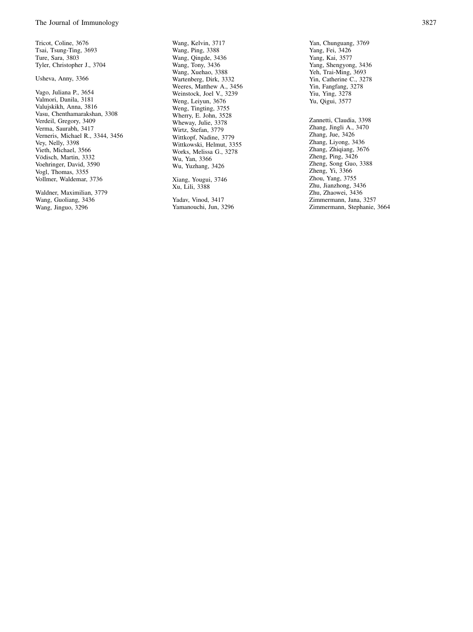Tricot, Coline, 3676 Tsai, Tsung-Ting, 3693 Ture, Sara, 3803 Tyler, Christopher J., 3704

#### Usheva, Anny, 3366

Vago, Juliana P., 3654 Valmori, Danila, 3181 Valujskikh, Anna, 3816 Vasu, Chenthamarakshan, 3308 Verdeil, Gregory, 3409 Verma, Saurabh, 3417 Verneris, Michael R., 3344, 3456 Vey, Nelly, 3398 Vieth, Michael, 3566 Vödisch, Martin, 3332 Voehringer, David, 3590 Vogl, Thomas, 3355 Vollmer, Waldemar, 3736

Waldner, Maximilian, 3779 Wang, Guoliang, 3436 Wang, Jinguo, 3296

Wang, Kelvin, 3717 Wang, Ping, 3388 Wang, Qingde, 3436 Wang, Tony, 3436 Wang, Xuehao, 3388 Wartenberg, Dirk, 3332 Weeres, Matthew A., 3456 Weinstock, Joel V., 3239 Weng, Leiyun, 3676 Weng, Tingting, 3755 Wherry, E. John, 3528 Wheway, Julie, 3378 Wirtz, Stefan, 3779 Wittkopf, Nadine, 3779 Wittkowski, Helmut, 3355 Works, Melissa G., 3278 Wu, Yan, 3366 Wu, Yuzhang, 3426

Xiang, Yougui, 3746 Xu, Lili, 3388

Yadav, Vinod, 3417 Yamanouchi, Jun, 3296 Yan, Chunguang, 3769 Yang, Fei, 3426 Yang, Kai, 3577 Yang, Shengyong, 3436 Yeh, Trai-Ming, 3693 Yin, Catherine C., 3278 Yin, Fangfang, 3278 Yiu, Ying, 3278 Yu, Qigui, 3577

Zannetti, Claudia, 3398 Zhang, Jingli A., 3470 Zhang, Jue, 3426 Zhang, Liyong, 3436 Zhang, Zhiqiang, 3676 Zheng, Ping, 3426 Zheng, Song Guo, 3388 Zheng, Yi, 3366 Zhou, Yang, 3755 Zhu, Jianzhong, 3436 Zhu, Zhaowei, 3436 Zimmermann, Jana, 3257 Zimmermann, Stephanie, 3664